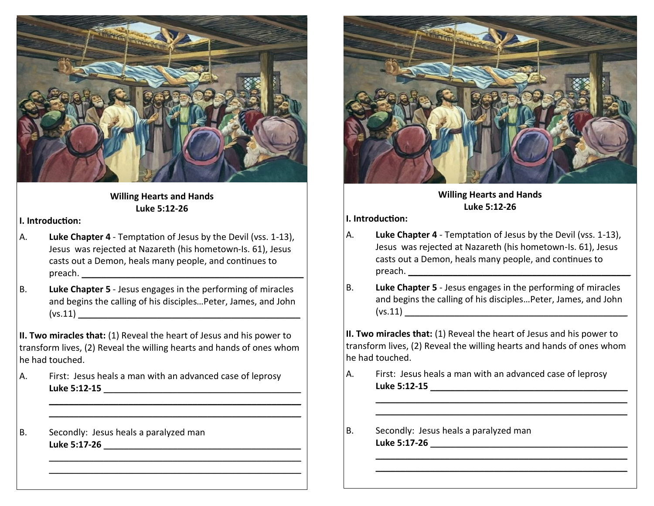

### **Willing Hearts and Hands Luke 5:12-26**

#### **I. Introduction:**

- A. **Luke Chapter 4**  Temptation of Jesus by the Devil (vss. 1-13), Jesus was rejected at Nazareth (his hometown-Is. 61), Jesus casts out a Demon, heals many people, and continues to  $\mathsf{preach}\mathsf{.}$
- B. **Luke Chapter 5**  Jesus engages in the performing of miracles and begins the calling of his disciples…Peter, James, and John  $(vs.11)$

**II. Two miracles that:** (1) Reveal the heart of Jesus and his power to transform lives, (2) Reveal the willing hearts and hands of ones whom he had touched.

> $\mathcal{L}_\text{max}$  , and the contract of the contract of the contract of the contract of the contract of the contract of the contract of the contract of the contract of the contract of the contract of the contract of the contr  $\mathcal{L}_\text{max}$  , and the contract of the contract of the contract of the contract of the contract of the contract of the contract of the contract of the contract of the contract of the contract of the contract of the contr

> $\mathcal{L}_\text{max}$  , and the contract of the contract of the contract of the contract of the contract of the contract of the contract of the contract of the contract of the contract of the contract of the contract of the contr  $\overline{\phantom{a}}$  , and the contract of the contract of the contract of the contract of the contract of the contract of the contract of the contract of the contract of the contract of the contract of the contract of the contrac

A. First: Jesus heals a man with an advanced case of leprosy **Luke 5:12-15** \_\_\_\_\_\_\_\_\_\_\_\_\_\_\_\_\_\_\_\_\_\_\_\_\_\_\_\_\_\_\_\_\_\_\_\_\_\_\_\_

B. Secondly: Jesus heals a paralyzed man **Luke 5:17-26** \_\_\_\_\_\_\_\_\_\_\_\_\_\_\_\_\_\_\_\_\_\_\_\_\_\_\_\_\_\_\_\_\_\_\_\_\_\_\_\_



**Willing Hearts and Hands Luke 5:12-26** 

**I. Introduction:**

- A. **Luke Chapter 4**  Temptation of Jesus by the Devil (vss. 1-13), Jesus was rejected at Nazareth (his hometown-Is. 61), Jesus casts out a Demon, heals many people, and continues to  $\mathsf{preach}\mathsf{.}$
- B. **Luke Chapter 5**  Jesus engages in the performing of miracles and begins the calling of his disciples…Peter, James, and John  $(vs.11)$

**II. Two miracles that:** (1) Reveal the heart of Jesus and his power to transform lives, (2) Reveal the willing hearts and hands of ones whom he had touched.

> $\overline{\phantom{a}}$  , and the contract of the contract of the contract of the contract of the contract of the contract of the contract of the contract of the contract of the contract of the contract of the contract of the contrac  $\overline{\phantom{a}}$  , and the contract of the contract of the contract of the contract of the contract of the contract of the contract of the contract of the contract of the contract of the contract of the contract of the contrac

> $\mathcal{L}_\text{max}$  , and the contract of the contract of the contract of the contract of the contract of the contract of  $\mathcal{L}_\text{max}$  , and the contract of the contract of the contract of the contract of the contract of the contract of

- A. First: Jesus heals a man with an advanced case of leprosy **Luke 5:12-15** \_\_\_\_\_\_\_\_\_\_\_\_\_\_\_\_\_\_\_\_\_\_\_\_\_\_\_\_\_\_\_\_\_\_\_\_\_\_\_\_
- B. Secondly: Jesus heals a paralyzed man **Luke 5:17-26** \_\_\_\_\_\_\_\_\_\_\_\_\_\_\_\_\_\_\_\_\_\_\_\_\_\_\_\_\_\_\_\_\_\_\_\_\_\_\_\_